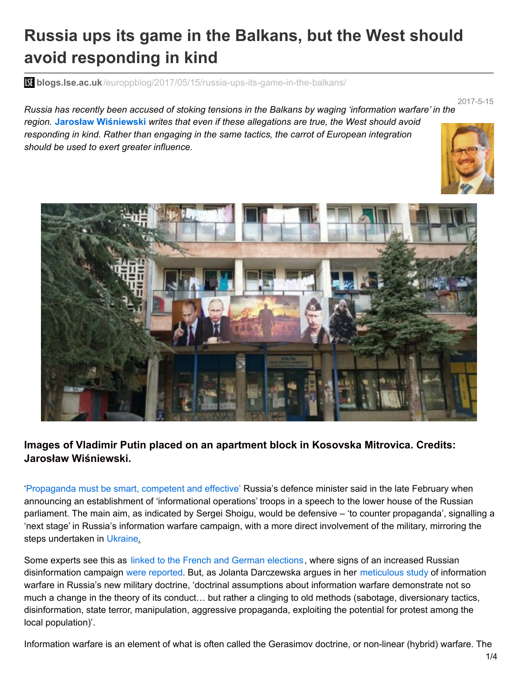# **Russia ups its game in the Balkans, but the West should avoid responding in kind**

**blogs.lse.ac.uk**[/europpblog/2017/05/15/russia-ups-its-game-in-the-balkans/](http://blogs.lse.ac.uk/europpblog/2017/05/15/russia-ups-its-game-in-the-balkans/)

2017-5-15

Russia has recently been accused of stoking tensions in the Balkans by waging 'information warfare' in the *region.* **Jarosław Wiśniewski** *writes that even if these allegations are true, the West should avoid responding in kind. Rather than engaging in the same tactics, the carrot of European integration should be used to exert greater influence.*





## **Images of Vladimir Putin placed on an apartment block in Kosovska Mitrovica. Credits: Jarosław Wiśniewski.**

['Propaganda](http://tass.ru/armiya-i-opk/4045814) must be smart, competent and effective' Russia's defence minister said in the late February when announcing an establishment of 'informational operations' troops in a speech to the lower house of the Russian parliament. The main aim, as indicated by Sergei Shoigu, would be defensive – 'to counter propaganda', signalling a 'next stage' in Russia's information warfare campaign, with a more direct involvement of the military, mirroring the steps undertaken in [Ukraine](https://lif.blob.core.windows.net/lif/docs/default-source/publications/how-to-stop-disinformation-lessons-from-ukraine-for-the-wider-world.pdf?sfvrsn=0).

Some experts see this as linked to the French and German [elections](http://www.newsweek.com/russia-announces-information-operations-troops-counter-propaganda-559656), where signs of an increased Russian disinformation campaign were [reported](https://www.theguardian.com/world/2017/apr/02/french-polling-watchdog-warns-over-russian-news-agency-election-report). But, as Jolanta Darczewska argues in her [meticulous](https://www.osw.waw.pl/en/publikacje/osw-studies/2016-06-27/russias-armed-forces-information-war-front-strategic-documents) study of information warfare in Russia's new military doctrine, 'doctrinal assumptions about information warfare demonstrate not so much a change in the theory of its conduct… but rather a clinging to old methods (sabotage, diversionary tactics, disinformation, state terror, manipulation, aggressive propaganda, exploiting the potential for protest among the local population)'.

Information warfare is an element of what is often called the Gerasimov doctrine, or non-linear (hybrid) warfare. The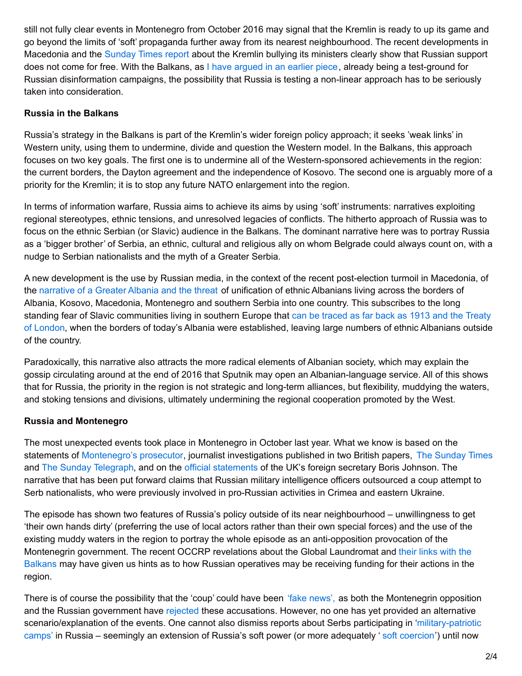still not fully clear events in Montenegro from October 2016 may signal that the Kremlin is ready to up its game and go beyond the limits of 'soft' propaganda further away from its nearest neighbourhood. The recent developments in Macedonia and the [Sunday](mailto:https://www.thetimes.co.uk/article/macedonia-is-told-switch-loyalty-to-russia-or-suffer-5qpzws373) Times report about the Kremlin bullying its ministers clearly show that Russian support does not come for free. With the Balkans, as I have [argued](https://www.washingtonpost.com/news/monkey-cage/wp/2016/09/19/heres-how-russias-trying-to-sway-opinion-in-serbia-and-the-balkans/?utm_term=.89356a0e4823) in an earlier piece, already being a test-ground for Russian disinformation campaigns, the possibility that Russia is testing a non-linear approach has to be seriously taken into consideration.

#### **Russia in the Balkans**

Russia's strategy in the Balkans is part of the Kremlin's wider foreign policy approach; it seeks 'weak links' in Western unity, using them to undermine, divide and question the Western model. In the Balkans, this approach focuses on two key goals. The first one is to undermine all of the Western-sponsored achievements in the region: the current borders, the Dayton agreement and the independence of Kosovo. The second one is arguably more of a priority for the Kremlin; it is to stop any future NATO enlargement into the region.

In terms of information warfare, Russia aims to achieve its aims by using 'soft' instruments: narratives exploiting regional stereotypes, ethnic tensions, and unresolved legacies of conflicts. The hitherto approach of Russia was to focus on the ethnic Serbian (or Slavic) audience in the Balkans. The dominant narrative here was to portray Russia as a 'bigger brother' of Serbia, an ethnic, cultural and religious ally on whom Belgrade could always count on, with a nudge to Serbian nationalists and the myth of a Greater Serbia.

A new development is the use by Russian media, in the context of the recent post-election turmoil in Macedonia, of the [narrative](mailto:https://rs.sputniknews.com/komentari/201703161110402043-velika-albanija/) of a Greater Albania and the threat of unification of ethnic Albanians living across the borders of Albania, Kosovo, Macedonia, Montenegro and southern Serbia into one country. This subscribes to the long standing fear of Slavic [communities](http://www.neweasterneurope.eu/articles-and-commentary/1459-the-paranoia-over-greater-albania-returns) living in southern Europe that can be traced as far back as 1913 and the Treaty of London, when the borders of today's Albania were established, leaving large numbers of ethnic Albanians outside of the country.

Paradoxically, this narrative also attracts the more radical elements of Albanian society, which may explain the gossip circulating around at the end of 2016 that Sputnik may open an Albanian-language service. All of this shows that for Russia, the priority in the region is not strategic and long-term alliances, but flexibility, muddying the waters, and stoking tensions and divisions, ultimately undermining the regional cooperation promoted by the West.

#### **Russia and Montenegro**

The most unexpected events took place in Montenegro in October last year. What we know is based on the statements of [Montenegro's](http://www.politico.eu/article/prosecutor-russia-behind-attempted-montenegro-coup/) prosecutor, journalist investigations published in two British papers, The [Sunday](https://www.thetimes.co.uk/article/you-belong-to-us-putins-murky-plot-to-cleave-balkans-from-west-hsm2gsd3v) Times and The Sunday [Telegraph](http://www.telegraph.co.uk/news/2017/02/20/russian-state-bodies-behind-montenegro-coup-plot-says-prosecutor/), and on the official [statements](http://www.telegraph.co.uk/news/2017/03/12/boris-johnson-claims-russia-behind-plot-assassinate-prime-minister/) of the UK's foreign secretary Boris Johnson. The narrative that has been put forward claims that Russian military intelligence officers outsourced a coup attempt to Serb nationalists, who were previously involved in pro-Russian activities in Crimea and eastern Ukraine.

The episode has shown two features of Russia's policy outside of its near neighbourhood – unwillingness to get 'their own hands dirty' (preferring the use of local actors rather than their own special forces) and the use of the existing muddy waters in the region to portray the whole episode as an anti-opposition provocation of the Montenegrin [government.](http://www.balkaninsight.com/en/article/russian-money-laundering-scheme-present-in-balkans-03-21-2017) The recent OCCRP revelations about the Global Laundromat and their links with the Balkans may have given us hints as to how Russian operatives may be receiving funding for their actions in the region.

There is of course the possibility that the 'coup' could have been 'fake [news',](http://www.aljazeera.com/programmes/peopleandpower/2017/03/montenegrin-coup-170302060130440.html) as both the Montenegrin opposition and the Russian government have [rejected](https://www.rt.com/news/365673-montenegro-russia-attacks-investigation/) these accusations. However, no one has yet provided an alternative [scenario/explanation](mailto:http://www.balkaninsight.com/en/article/serbian-war-veterans-children-learned-patriotism-in-russian-camp-05-09-2017) of the events. One cannot also dismiss reports about Serbs participating in 'military-patriotic camps' in Russia – seemingly an extension of Russia's soft power (or more adequately 'soft [coercion](mailto:https://www.chathamhouse.org/publications/books/archive/view/191955)') until now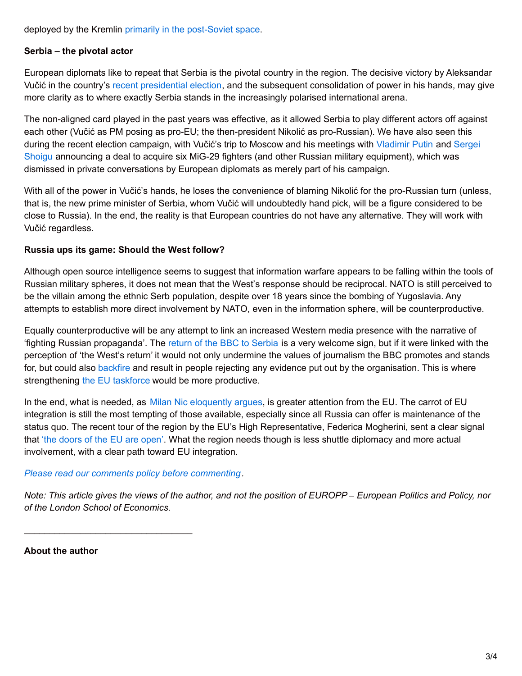deployed by the Kremlin primarily in the [post-Soviet](mailto:http://www.atlanticcouncil.org/blogs/ukrainealert/the-long-arm-of-russian-soft-power) space.

#### **Serbia – the pivotal actor**

European diplomats like to repeat that Serbia is the pivotal country in the region. The decisive victory by Aleksandar Vučić in the country's recent [presidential](http://blogs.lse.ac.uk/europpblog/2017/04/03/experts-react-aleksandar-vucic-wins-serbias-presidential-election/) election, and the subsequent consolidation of power in his hands, may give more clarity as to where exactly Serbia stands in the increasingly polarised international arena.

The non-aligned card played in the past years was effective, as it allowed Serbia to play different actors off against each other (Vučić as PM posing as pro-EU; the then-president Nikolić as pro-Russian). We have also seen this during the recent election campaign, with Vučić's trip to Moscow and his meetings with [Vladimir](mailto:http://www.balkaninsight.com/en/article/putin-wishes-vucic-luck-in-serbian-presidential-election-03-27-2017) Putin and Sergei Shoigu announcing a deal to acquire six MiG-29 fighters (and other Russian military [equipment\),](mailto:http://www.balkaninsight.com/en/article/serbian-pm-in-moscow-amid-new-arms-deal-12-20-2016) which was dismissed in private conversations by European diplomats as merely part of his campaign.

With all of the power in Vučić's hands, he loses the convenience of blaming Nikolić for the pro-Russian turn (unless, that is, the new prime minister of Serbia, whom Vučić will undoubtedly hand pick, will be a figure considered to be close to Russia). In the end, the reality is that European countries do not have any alternative. They will work with Vučić regardless.

#### **Russia ups its game: Should the West follow?**

Although open source intelligence seems to suggest that information warfare appears to be falling within the tools of Russian military spheres, it does not mean that the West's response should be reciprocal. NATO is still perceived to be the villain among the ethnic Serb population, despite over 18 years since the bombing of Yugoslavia. Any attempts to establish more direct involvement by NATO, even in the information sphere, will be counterproductive.

Equally counterproductive will be any attempt to link an increased Western media presence with the narrative of 'fighting Russian propaganda'. The return of the BBC to [Serbia](https://www.ft.com/content/3d52cb64-0967-11e7-97d1-5e720a26771b) is a very welcome sign, but if it were linked with the perception of 'the West's return' it would not only undermine the values of journalism the BBC promotes and stands for, but could also [backfire](http://archives.cjr.org/behind_the_news/the_backfire_effect.php?page=all) and result in people rejecting any evidence put out by the organisation. This is where strengthening the EU [taskforce](https://euvsdisinfo.eu/) would be more productive.

In the end, what is needed, as Milan Nic [eloquently](http://berlinpolicyjournal.com/balkan-troubles/) argues, is greater attention from the EU. The carrot of EU integration is still the most tempting of those available, especially since all Russia can offer is maintenance of the status quo. The recent tour of the region by the EU's High Representative, Federica Mogherini, sent a clear signal that 'the [doors](https://europeanwesternbalkans.com/2017/03/03/mogherini-in-western-balkans-eus-door-is-open-calls-for-political-solution-in-skopje/) of the EU are open'. What the region needs though is less shuttle diplomacy and more actual involvement, with a clear path toward EU integration.

#### *Please read our comments policy before [commenting](http://blogs.lse.ac.uk/europpblog/about/comments-policy/).*

\_\_\_\_\_\_\_\_\_\_\_\_\_\_\_\_\_\_\_\_\_\_\_\_\_\_\_\_\_\_\_\_\_

Note: This article gives the views of the author, and not the position of EUROPP – European Politics and Policy, nor *of the London School of Economics.*

#### **About the author**